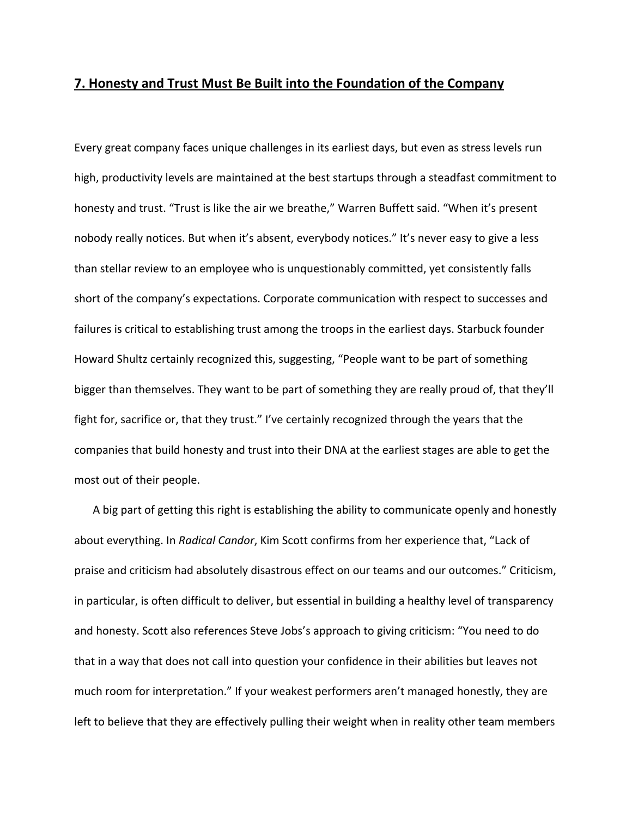## **7. Honesty and Trust Must Be Built into the Foundation of the Company**

Every great company faces unique challenges in its earliest days, but even as stress levels run high, productivity levels are maintained at the best startups through a steadfast commitment to honesty and trust. "Trust is like the air we breathe," Warren Buffett said. "When it's present nobody really notices. But when it's absent, everybody notices." It's never easy to give a less than stellar review to an employee who is unquestionably committed, yet consistently falls short of the company's expectations. Corporate communication with respect to successes and failures is critical to establishing trust among the troops in the earliest days. Starbuck founder Howard Shultz certainly recognized this, suggesting, "People want to be part of something bigger than themselves. They want to be part of something they are really proud of, that they'll fight for, sacrifice or, that they trust." I've certainly recognized through the years that the companies that build honesty and trust into their DNA at the earliest stages are able to get the most out of their people.

A big part of getting this right is establishing the ability to communicate openly and honestly about everything. In *Radical Candor*, Kim Scott confirms from her experience that, "Lack of praise and criticism had absolutely disastrous effect on our teams and our outcomes." Criticism, in particular, is often difficult to deliver, but essential in building a healthy level of transparency and honesty. Scott also references Steve Jobs's approach to giving criticism: "You need to do that in a way that does not call into question your confidence in their abilities but leaves not much room for interpretation." If your weakest performers aren't managed honestly, they are left to believe that they are effectively pulling their weight when in reality other team members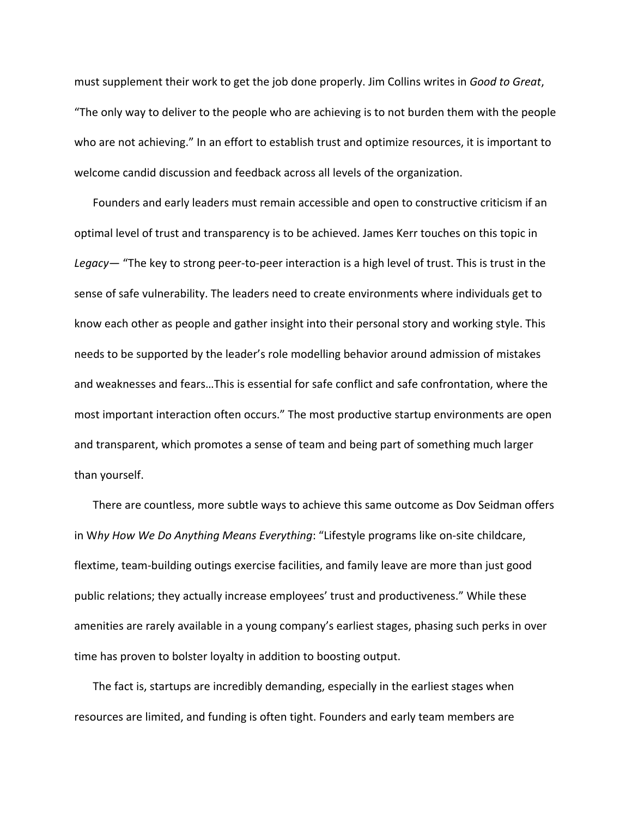must supplement their work to get the job done properly. Jim Collins writes in *Good to Great*, "The only way to deliver to the people who are achieving is to not burden them with the people who are not achieving." In an effort to establish trust and optimize resources, it is important to welcome candid discussion and feedback across all levels of the organization.

Founders and early leaders must remain accessible and open to constructive criticism if an optimal level of trust and transparency is to be achieved. James Kerr touches on this topic in *Legacy*— "The key to strong peer‐to‐peer interaction is a high level of trust. This is trust in the sense of safe vulnerability. The leaders need to create environments where individuals get to know each other as people and gather insight into their personal story and working style. This needs to be supported by the leader's role modelling behavior around admission of mistakes and weaknesses and fears…This is essential for safe conflict and safe confrontation, where the most important interaction often occurs." The most productive startup environments are open and transparent, which promotes a sense of team and being part of something much larger than yourself.

There are countless, more subtle ways to achieve this same outcome as Dov Seidman offers in W*hy How We Do Anything Means Everything*: "Lifestyle programs like on‐site childcare, flextime, team‐building outings exercise facilities, and family leave are more than just good public relations; they actually increase employees' trust and productiveness." While these amenities are rarely available in a young company's earliest stages, phasing such perks in over time has proven to bolster loyalty in addition to boosting output.

The fact is, startups are incredibly demanding, especially in the earliest stages when resources are limited, and funding is often tight. Founders and early team members are